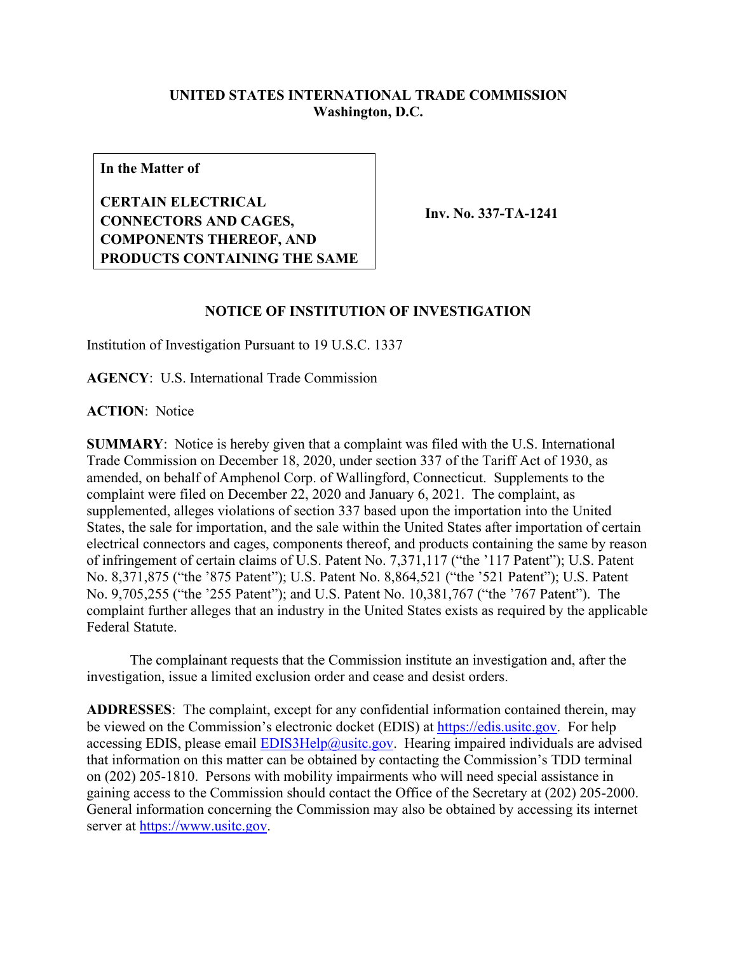## **UNITED STATES INTERNATIONAL TRADE COMMISSION Washington, D.C.**

**In the Matter of**

**CERTAIN ELECTRICAL CONNECTORS AND CAGES, COMPONENTS THEREOF, AND PRODUCTS CONTAINING THE SAME**

**Inv. No. 337-TA-1241**

## **NOTICE OF INSTITUTION OF INVESTIGATION**

Institution of Investigation Pursuant to 19 U.S.C. 1337

**AGENCY**: U.S. International Trade Commission

**ACTION**: Notice

**SUMMARY**: Notice is hereby given that a complaint was filed with the U.S. International Trade Commission on December 18, 2020, under section 337 of the Tariff Act of 1930, as amended, on behalf of Amphenol Corp. of Wallingford, Connecticut. Supplements to the complaint were filed on December 22, 2020 and January 6, 2021. The complaint, as supplemented, alleges violations of section 337 based upon the importation into the United States, the sale for importation, and the sale within the United States after importation of certain electrical connectors and cages, components thereof, and products containing the same by reason of infringement of certain claims of U.S. Patent No. 7,371,117 ("the '117 Patent"); U.S. Patent No. 8,371,875 ("the '875 Patent"); U.S. Patent No. 8,864,521 ("the '521 Patent"); U.S. Patent No. 9,705,255 ("the '255 Patent"); and U.S. Patent No. 10,381,767 ("the '767 Patent"). The complaint further alleges that an industry in the United States exists as required by the applicable Federal Statute.

The complainant requests that the Commission institute an investigation and, after the investigation, issue a limited exclusion order and cease and desist orders.

**ADDRESSES**: The complaint, except for any confidential information contained therein, may be viewed on the Commission's electronic docket (EDIS) at [https://edis.usitc.gov.](https://edis.usitc.gov/) For help accessing EDIS, please email  $EDIS3Help@usite.gov$ . Hearing impaired individuals are advised that information on this matter can be obtained by contacting the Commission's TDD terminal on (202) 205-1810. Persons with mobility impairments who will need special assistance in gaining access to the Commission should contact the Office of the Secretary at (202) 205-2000. General information concerning the Commission may also be obtained by accessing its internet server at [https://www.usitc.gov.](https://www.usitc.gov/)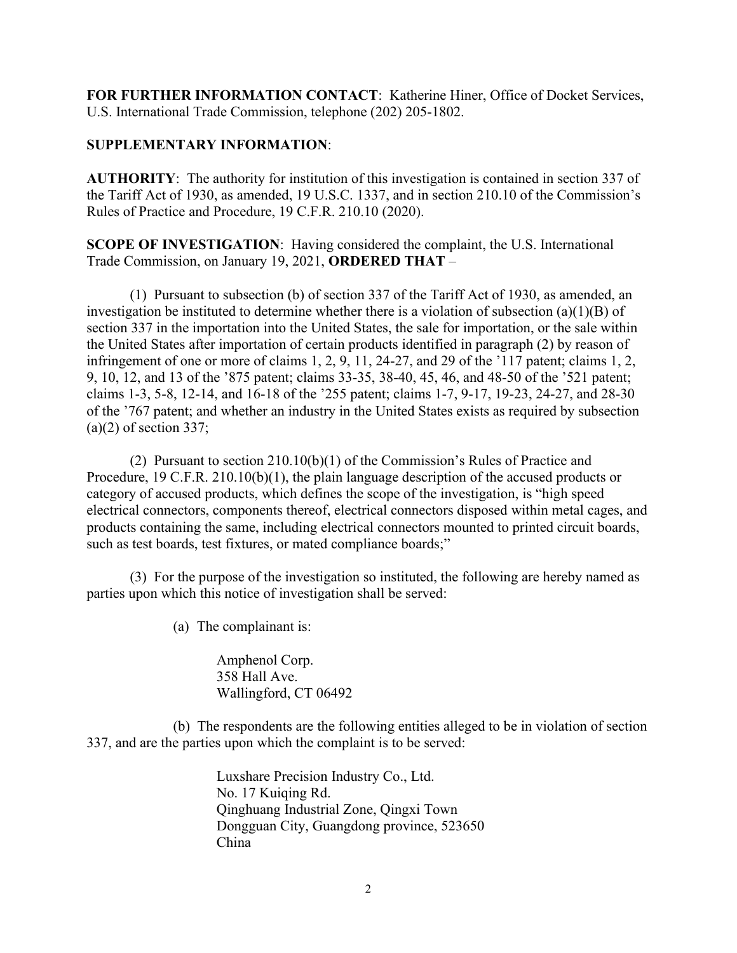**FOR FURTHER INFORMATION CONTACT**: Katherine Hiner, Office of Docket Services, U.S. International Trade Commission, telephone (202) 205-1802.

## **SUPPLEMENTARY INFORMATION**:

**AUTHORITY**: The authority for institution of this investigation is contained in section 337 of the Tariff Act of 1930, as amended, 19 U.S.C. 1337, and in section 210.10 of the Commission's Rules of Practice and Procedure, 19 C.F.R. 210.10 (2020).

**SCOPE OF INVESTIGATION**: Having considered the complaint, the U.S. International Trade Commission, on January 19, 2021, **ORDERED THAT** –

(1) Pursuant to subsection (b) of section 337 of the Tariff Act of 1930, as amended, an investigation be instituted to determine whether there is a violation of subsection (a)(1)(B) of section 337 in the importation into the United States, the sale for importation, or the sale within the United States after importation of certain products identified in paragraph (2) by reason of infringement of one or more of claims 1, 2, 9, 11, 24-27, and 29 of the '117 patent; claims 1, 2, 9, 10, 12, and 13 of the '875 patent; claims 33-35, 38-40, 45, 46, and 48-50 of the '521 patent; claims 1-3, 5-8, 12-14, and 16-18 of the '255 patent; claims 1-7, 9-17, 19-23, 24-27, and 28-30 of the '767 patent; and whether an industry in the United States exists as required by subsection  $(a)(2)$  of section 337;

(2) Pursuant to section 210.10(b)(1) of the Commission's Rules of Practice and Procedure, 19 C.F.R. 210.10(b)(1), the plain language description of the accused products or category of accused products, which defines the scope of the investigation, is "high speed electrical connectors, components thereof, electrical connectors disposed within metal cages, and products containing the same, including electrical connectors mounted to printed circuit boards, such as test boards, test fixtures, or mated compliance boards;"

(3) For the purpose of the investigation so instituted, the following are hereby named as parties upon which this notice of investigation shall be served:

(a) The complainant is:

Amphenol Corp. 358 Hall Ave. Wallingford, CT 06492

(b) The respondents are the following entities alleged to be in violation of section 337, and are the parties upon which the complaint is to be served:

> Luxshare Precision Industry Co., Ltd. No. 17 Kuiqing Rd. Qinghuang Industrial Zone, Qingxi Town Dongguan City, Guangdong province, 523650 China